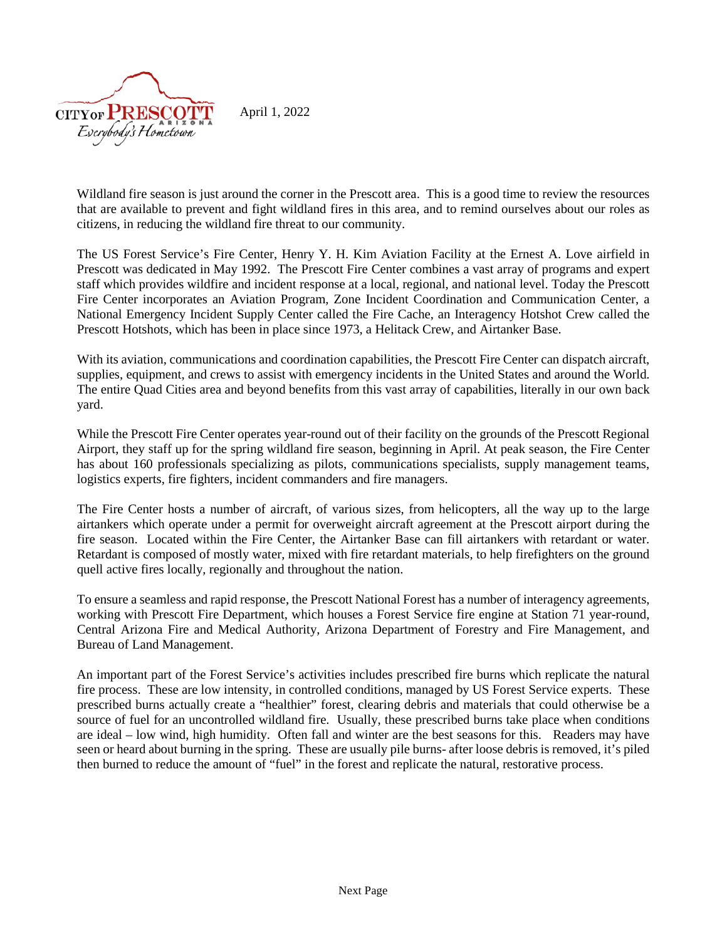

Wildland fire season is just around the corner in the Prescott area. This is a good time to review the resources that are available to prevent and fight wildland fires in this area, and to remind ourselves about our roles as citizens, in reducing the wildland fire threat to our community.

The US Forest Service's Fire Center, Henry Y. H. Kim Aviation Facility at the Ernest A. Love airfield in Prescott was dedicated in May 1992. The Prescott Fire Center combines a vast array of programs and expert staff which provides wildfire and incident response at a local, regional, and national level. Today the Prescott Fire Center incorporates an Aviation Program, Zone Incident Coordination and Communication Center, a National Emergency Incident Supply Center called the Fire Cache, an Interagency Hotshot Crew called the Prescott Hotshots, which has been in place since 1973, a Helitack Crew, and Airtanker Base.

With its aviation, communications and coordination capabilities, the Prescott Fire Center can dispatch aircraft, supplies, equipment, and crews to assist with emergency incidents in the United States and around the World. The entire Quad Cities area and beyond benefits from this vast array of capabilities, literally in our own back yard.

While the Prescott Fire Center operates year-round out of their facility on the grounds of the Prescott Regional Airport, they staff up for the spring wildland fire season, beginning in April. At peak season, the Fire Center has about 160 professionals specializing as pilots, communications specialists, supply management teams, logistics experts, fire fighters, incident commanders and fire managers.

The Fire Center hosts a number of aircraft, of various sizes, from helicopters, all the way up to the large airtankers which operate under a permit for overweight aircraft agreement at the Prescott airport during the fire season. Located within the Fire Center, the Airtanker Base can fill airtankers with retardant or water. Retardant is composed of mostly water, mixed with fire retardant materials, to help firefighters on the ground quell active fires locally, regionally and throughout the nation.

To ensure a seamless and rapid response, the Prescott National Forest has a number of interagency agreements, working with Prescott Fire Department, which houses a Forest Service fire engine at Station 71 year-round, Central Arizona Fire and Medical Authority, Arizona Department of Forestry and Fire Management, and Bureau of Land Management.

An important part of the Forest Service's activities includes prescribed fire burns which replicate the natural fire process. These are low intensity, in controlled conditions, managed by US Forest Service experts. These prescribed burns actually create a "healthier" forest, clearing debris and materials that could otherwise be a source of fuel for an uncontrolled wildland fire. Usually, these prescribed burns take place when conditions are ideal – low wind, high humidity. Often fall and winter are the best seasons for this. Readers may have seen or heard about burning in the spring. These are usually pile burns- after loose debris is removed, it's piled then burned to reduce the amount of "fuel" in the forest and replicate the natural, restorative process.